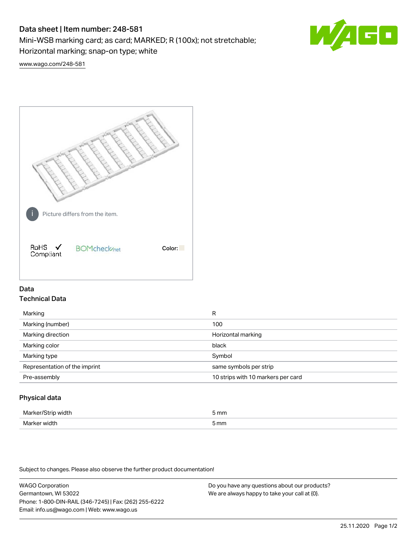# Data sheet | Item number: 248-581

Mini-WSB marking card; as card; MARKED; R (100x); not stretchable;

Horizontal marking; snap-on type; white



[www.wago.com/248-581](http://www.wago.com/248-581)



# Data Technical Data

| Marking                       | R                                  |
|-------------------------------|------------------------------------|
| Marking (number)              | 100                                |
| Marking direction             | Horizontal marking                 |
| Marking color                 | black                              |
| Marking type                  | Symbol                             |
| Representation of the imprint | same symbols per strip             |
| Pre-assembly                  | 10 strips with 10 markers per card |
|                               |                                    |

# Physical data

| Marker<br>WILL.<br>י | 5 mm |
|----------------------|------|
| Marker w<br>width    | 5 mm |

Subject to changes. Please also observe the further product documentation!

WAGO Corporation Germantown, WI 53022 Phone: 1-800-DIN-RAIL (346-7245) | Fax: (262) 255-6222 Email: info.us@wago.com | Web: www.wago.us We are always happy to take your call at {0}.

Do you have any questions about our products?